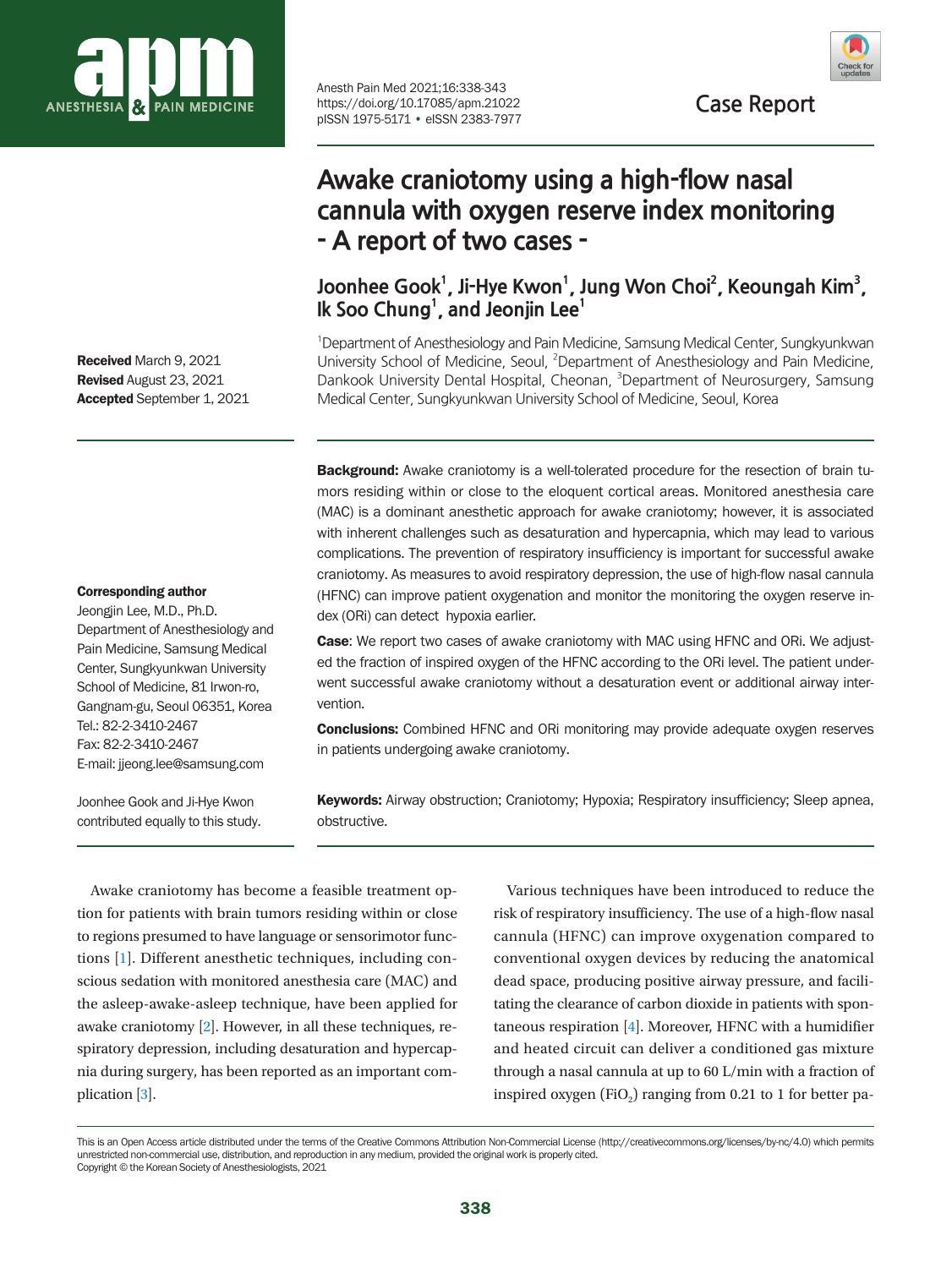

Received March 9, 2021 Revised August 23, 2021 Accepted September 1, 2021

#### Corresponding author

Jeongjin Lee, M.D., Ph.D. Department of Anesthesiology and Pain Medicine, Samsung Medical Center, Sungkyunkwan University School of Medicine, 81 Irwon-ro, Gangnam-gu, Seoul 06351, Korea Tel.: 82-2-3410-2467 Fax: 82-2-3410-2467 E-mail: jjeong.lee@samsung.com

Joonhee Gook and Ji-Hye Kwon contributed equally to this study. Anesth Pain Med 2021;16:338-343 https://doi.org/10.17085/apm.21022 pISSN 1975-5171 • eISSN 2383-7977



**Case Report**

# **Awake craniotomy using a high-flow nasal cannula with oxygen reserve index monitoring - A report of two cases -**

Joonhee Gook<sup>1</sup>, Ji-Hye Kwon<sup>1</sup>, Jung Won Choi<sup>2</sup>, Keoungah Kim<sup>3</sup>, **Ik Soo Chung1 , and Jeonjin Lee1**

<sup>1</sup> Department of Anesthesiology and Pain Medicine, Samsung Medical Center, Sungkyunkwan University School of Medicine, Seoul, <sup>2</sup>Department of Anesthesiology and Pain Medicine, Dankook University Dental Hospital, Cheonan, <sup>3</sup>Department of Neurosurgery, Samsung Medical Center, Sungkyunkwan University School of Medicine, Seoul, Korea

**Background:** Awake craniotomy is a well-tolerated procedure for the resection of brain tumors residing within or close to the eloquent cortical areas. Monitored anesthesia care (MAC) is a dominant anesthetic approach for awake craniotomy; however, it is associated with inherent challenges such as desaturation and hypercapnia, which may lead to various complications. The prevention of respiratory insufficiency is important for successful awake craniotomy. As measures to avoid respiratory depression, the use of high-flow nasal cannula (HFNC) can improve patient oxygenation and monitor the monitoring the oxygen reserve index (ORi) can detect hypoxia earlier.

**Case:** We report two cases of awake craniotomy with MAC using HFNC and ORi. We adjusted the fraction of inspired oxygen of the HFNC according to the ORi level. The patient underwent successful awake craniotomy without a desaturation event or additional airway intervention.

**Conclusions:** Combined HFNC and ORi monitoring may provide adequate oxygen reserves in patients undergoing awake craniotomy.

Keywords: Airway obstruction; Craniotomy; Hypoxia; Respiratory insufficiency; Sleep apnea, obstructive.

Awake craniotomy has become a feasible treatment option for patients with brain tumors residing within or close to regions presumed to have language or sensorimotor functions [\[1\]](#page-5-0). Different anesthetic techniques, including conscious sedation with monitored anesthesia care (MAC) and the asleep-awake-asleep technique, have been applied for awake craniotomy [\[2\]](#page-4-0). However, in all these techniques, respiratory depression, including desaturation and hypercapnia during surgery, has been reported as an important complication [\[3\]](#page-5-1).

Various techniques have been introduced to reduce the risk of respiratory insufficiency. The use of a high-flow nasal cannula (HFNC) can improve oxygenation compared to conventional oxygen devices by reducing the anatomical dead space, producing positive airway pressure, and facilitating the clearance of carbon dioxide in patients with spontaneous respiration [\[4\]](#page-5-0). Moreover, HFNC with a humidifier and heated circuit can deliver a conditioned gas mixture through a nasal cannula at up to 60 L/min with a fraction of inspired oxygen (FiO<sub>2</sub>) ranging from 0.21 to 1 for better pa-

This is an Open Access article distributed under the terms of the Creative Commons Attribution Non-Commercial License (http://creativecommons.org/licenses/by-nc/4.0) which permits unrestricted non-commercial use, distribution, and reproduction in any medium, provided the original work is properly cited. Copyright © the Korean Society of Anesthesiologists, 2021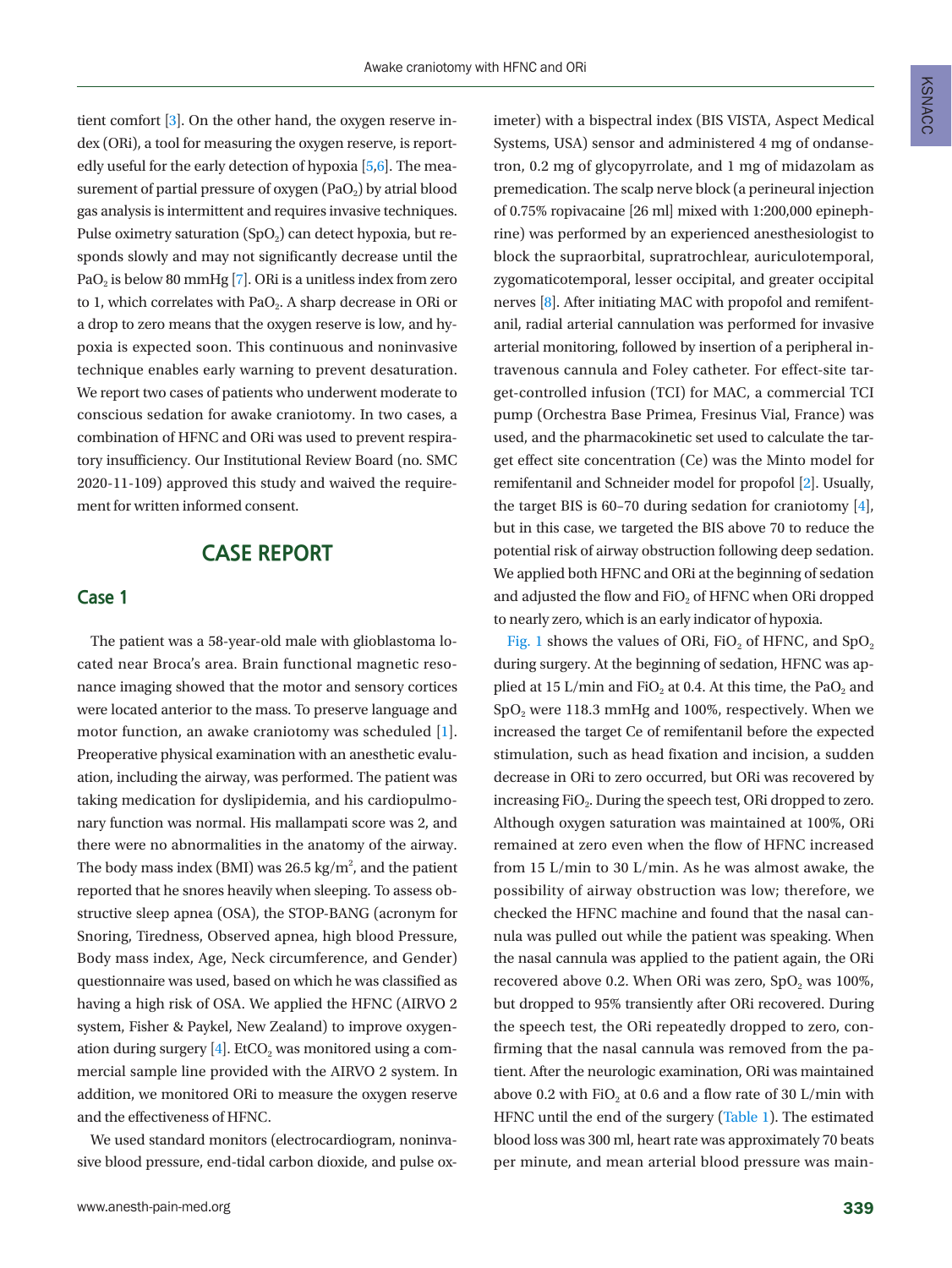tient comfort [\[3](#page-5-1)]. On the other hand, the oxygen reserve index (ORi), a tool for measuring the oxygen reserve, is reportedly useful for the early detection of hypoxia  $[5,6]$  $[5,6]$ . The measurement of partial pressure of oxygen  $(PaO<sub>2</sub>)$  by atrial blood gas analysis is intermittent and requires invasive techniques. Pulse oximetry saturation  $(SpO<sub>2</sub>)$  can detect hypoxia, but responds slowly and may not significantly decrease until the PaO<sub>2</sub> is below 80 mmHg [\[7](#page-5-4)]. ORi is a unitless index from zero to 1, which correlates with PaO<sub>2</sub>. A sharp decrease in ORi or a drop to zero means that the oxygen reserve is low, and hypoxia is expected soon. This continuous and noninvasive technique enables early warning to prevent desaturation. We report two cases of patients who underwent moderate to conscious sedation for awake craniotomy. In two cases, a combination of HFNC and ORi was used to prevent respiratory insufficiency. Our Institutional Review Board (no. SMC 2020-11-109) approved this study and waived the requirement for written informed consent.

## **CASE REPORT**

#### **Case 1**

The patient was a 58-year-old male with glioblastoma located near Broca's area. Brain functional magnetic resonance imaging showed that the motor and sensory cortices were located anterior to the mass. To preserve language and motor function, an awake craniotomy was scheduled [1]. Preoperative physical examination with an anesthetic evaluation, including the airway, was performed. The patient was taking medication for dyslipidemia, and his cardiopulmonary function was normal. His mallampati score was 2, and there were no abnormalities in the anatomy of the airway. The body mass index (BMI) was 26.5 kg/m<sup>2</sup>, and the patient reported that he snores heavily when sleeping. To assess obstructive sleep apnea (OSA), the STOP-BANG (acronym for Snoring, Tiredness, Observed apnea, high blood Pressure, Body mass index, Age, Neck circumference, and Gender) questionnaire was used, based on which he was classified as having a high risk of OSA. We applied the HFNC (AIRVO 2 system, Fisher & Paykel, New Zealand) to improve oxygenation during surgery  $[4]$ . EtCO<sub>2</sub> was monitored using a commercial sample line provided with the AIRVO 2 system. In addition, we monitored ORi to measure the oxygen reserve and the effectiveness of HFNC.

We used standard monitors (electrocardiogram, noninvasive blood pressure, end-tidal carbon dioxide, and pulse oximeter) with a bispectral index (BIS VISTA, Aspect Medical Systems, USA) sensor and administered 4 mg of ondansetron, 0.2 mg of glycopyrrolate, and 1 mg of midazolam as premedication. The scalp nerve block (a perineural injection of 0.75% ropivacaine [26 ml] mixed with 1:200,000 epinephrine) was performed by an experienced anesthesiologist to block the supraorbital, supratrochlear, auriculotemporal, zygomaticotemporal, lesser occipital, and greater occipital nerves [\[8](#page-5-5)]. After initiating MAC with propofol and remifentanil, radial arterial cannulation was performed for invasive arterial monitoring, followed by insertion of a peripheral intravenous cannula and Foley catheter. For effect-site target-controlled infusion (TCI) for MAC, a commercial TCI pump (Orchestra Base Primea, Fresinus Vial, France) was used, and the pharmacokinetic set used to calculate the target effect site concentration (Ce) was the Minto model for remifentanil and Schneider model for propofol [2]. Usually, the target BIS is 60–70 during sedation for craniotomy [4], but in this case, we targeted the BIS above 70 to reduce the potential risk of airway obstruction following deep sedation. We applied both HFNC and ORi at the beginning of sedation and adjusted the flow and FiO<sub>2</sub> of HFNC when ORi dropped to nearly zero, which is an early indicator of hypoxia.

Fig. 1 shows the values of ORi, FiO<sub>2</sub> of HFNC, and SpO<sub>2</sub> during surgery. At the beginning of sedation, HFNC was applied at 15 L/min and FiO<sub>2</sub> at 0.4. At this time, the PaO<sub>2</sub> and SpO<sub>2</sub> were 118.3 mmHg and 100%, respectively. When we increased the target Ce of remifentanil before the expected stimulation, such as head fixation and incision, a sudden decrease in ORi to zero occurred, but ORi was recovered by increasing FiO<sub>2</sub>. During the speech test, ORi dropped to zero. Although oxygen saturation was maintained at 100%, ORi remained at zero even when the flow of HFNC increased from 15 L/min to 30 L/min. As he was almost awake, the possibility of airway obstruction was low; therefore, we checked the HFNC machine and found that the nasal cannula was pulled out while the patient was speaking. When the nasal cannula was applied to the patient again, the ORi recovered above 0.2. When ORi was zero,  $SpO<sub>2</sub>$  was 100%, but dropped to 95% transiently after ORi recovered. During the speech test, the ORi repeatedly dropped to zero, confirming that the nasal cannula was removed from the patient. After the neurologic examination, ORi was maintained above 0.2 with FiO<sub>2</sub> at 0.6 and a flow rate of 30 L/min with HFNC until the end of the surgery ([Table 1\)](#page-3-0). The estimated blood loss was 300 ml, heart rate was approximately 70 beats per minute, and mean arterial blood pressure was main-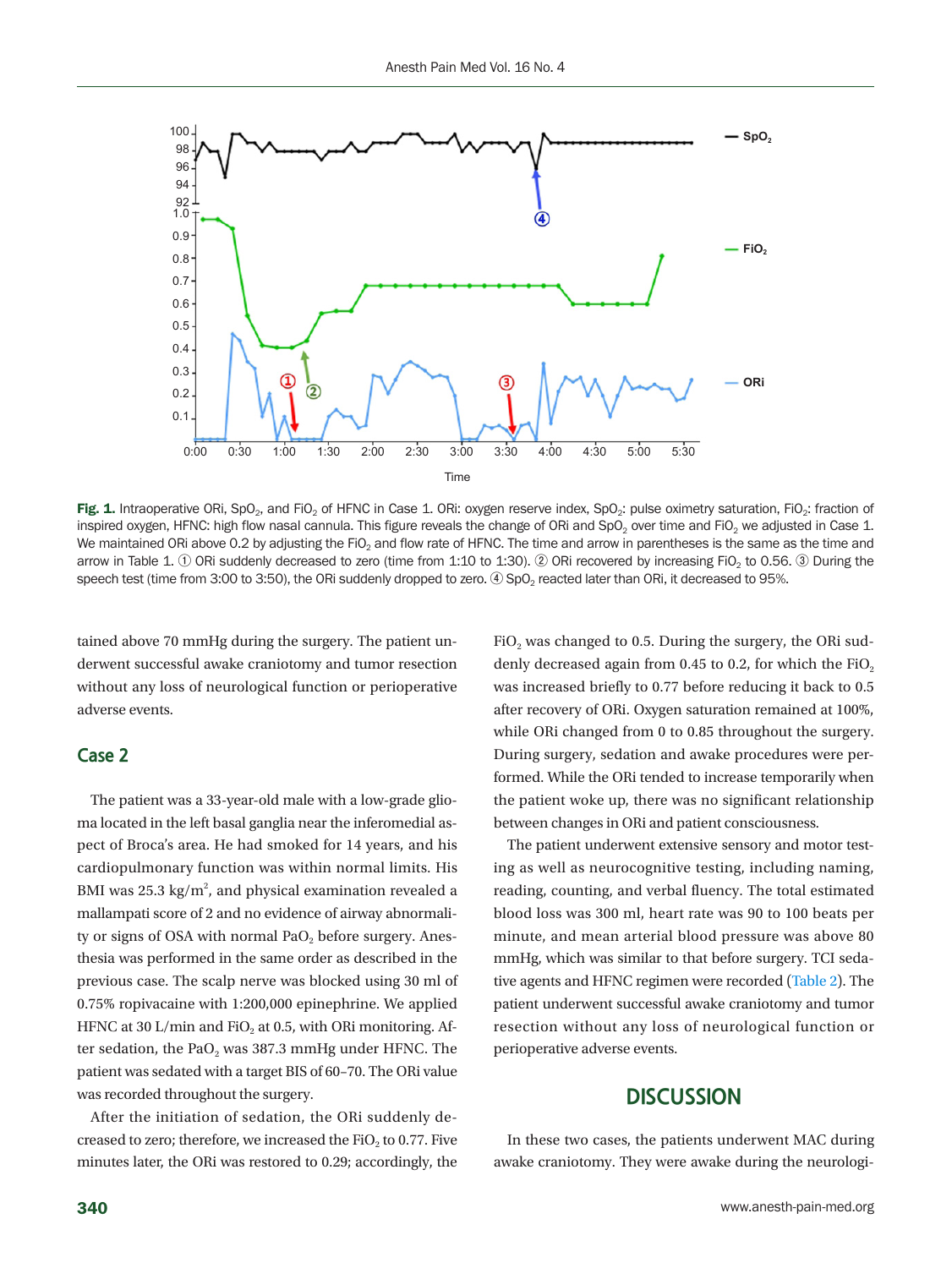

Fig. 1. Intraoperative ORi, SpO<sub>2</sub>, and FiO<sub>2</sub> of HFNC in Case 1. ORi: oxygen reserve index, SpO<sub>2</sub>: pulse oximetry saturation, FiO<sub>2</sub>: fraction of inspired oxygen, HFNC: high flow nasal cannula. This figure reveals the change of ORi and SpO<sub>2</sub> over time and FiO<sub>2</sub> we adjusted in Case 1. We maintained ORi above 0.2 by adjusting the FiO<sub>2</sub> and flow rate of HFNC. The time and arrow in parentheses is the same as the time and arrow in Table 1. **①** ORi suddenly decreased to zero (time from 1:10 to 1:30). **②** ORi recovered by increasing FiO2 to 0.56. **③** During the speech test (time from 3:00 to 3:50), the ORi suddenly dropped to zero. 4) SpO<sub>2</sub> reacted later than ORi, it decreased to 95%.

tained above 70 mmHg during the surgery. The patient underwent successful awake craniotomy and tumor resection without any loss of neurological function or perioperative adverse events.

#### **Case 2**

The patient was a 33-year-old male with a low-grade glioma located in the left basal ganglia near the inferomedial aspect of Broca's area. He had smoked for 14 years, and his cardiopulmonary function was within normal limits. His BMI was 25.3 kg/m<sup>2</sup>, and physical examination revealed a mallampati score of 2 and no evidence of airway abnormality or signs of OSA with normal PaO<sub>2</sub> before surgery. Anesthesia was performed in the same order as described in the previous case. The scalp nerve was blocked using 30 ml of 0.75% ropivacaine with 1:200,000 epinephrine. We applied HFNC at 30 L/min and FiO<sub>2</sub> at 0.5, with ORi monitoring. After sedation, the PaO<sub>2</sub> was 387.3 mmHg under HFNC. The patient was sedated with a target BIS of 60–70. The ORi value was recorded throughout the surgery.

After the initiation of sedation, the ORi suddenly decreased to zero; therefore, we increased the  $FiO<sub>2</sub>$  to 0.77. Five minutes later, the ORi was restored to 0.29; accordingly, the

FiO<sub>2</sub> was changed to 0.5. During the surgery, the ORi suddenly decreased again from 0.45 to 0.2, for which the  $FiO<sub>2</sub>$ was increased briefly to 0.77 before reducing it back to 0.5 after recovery of ORi. Oxygen saturation remained at 100%, while ORi changed from 0 to 0.85 throughout the surgery. During surgery, sedation and awake procedures were performed. While the ORi tended to increase temporarily when the patient woke up, there was no significant relationship between changes in ORi and patient consciousness.

The patient underwent extensive sensory and motor testing as well as neurocognitive testing, including naming, reading, counting, and verbal fluency. The total estimated blood loss was 300 ml, heart rate was 90 to 100 beats per minute, and mean arterial blood pressure was above 80 mmHg, which was similar to that before surgery. TCI sedative agents and HFNC regimen were recorded ([Table 2\)](#page-3-1). The patient underwent successful awake craniotomy and tumor resection without any loss of neurological function or perioperative adverse events.

### **DISCUSSION**

In these two cases, the patients underwent MAC during awake craniotomy. They were awake during the neurologi-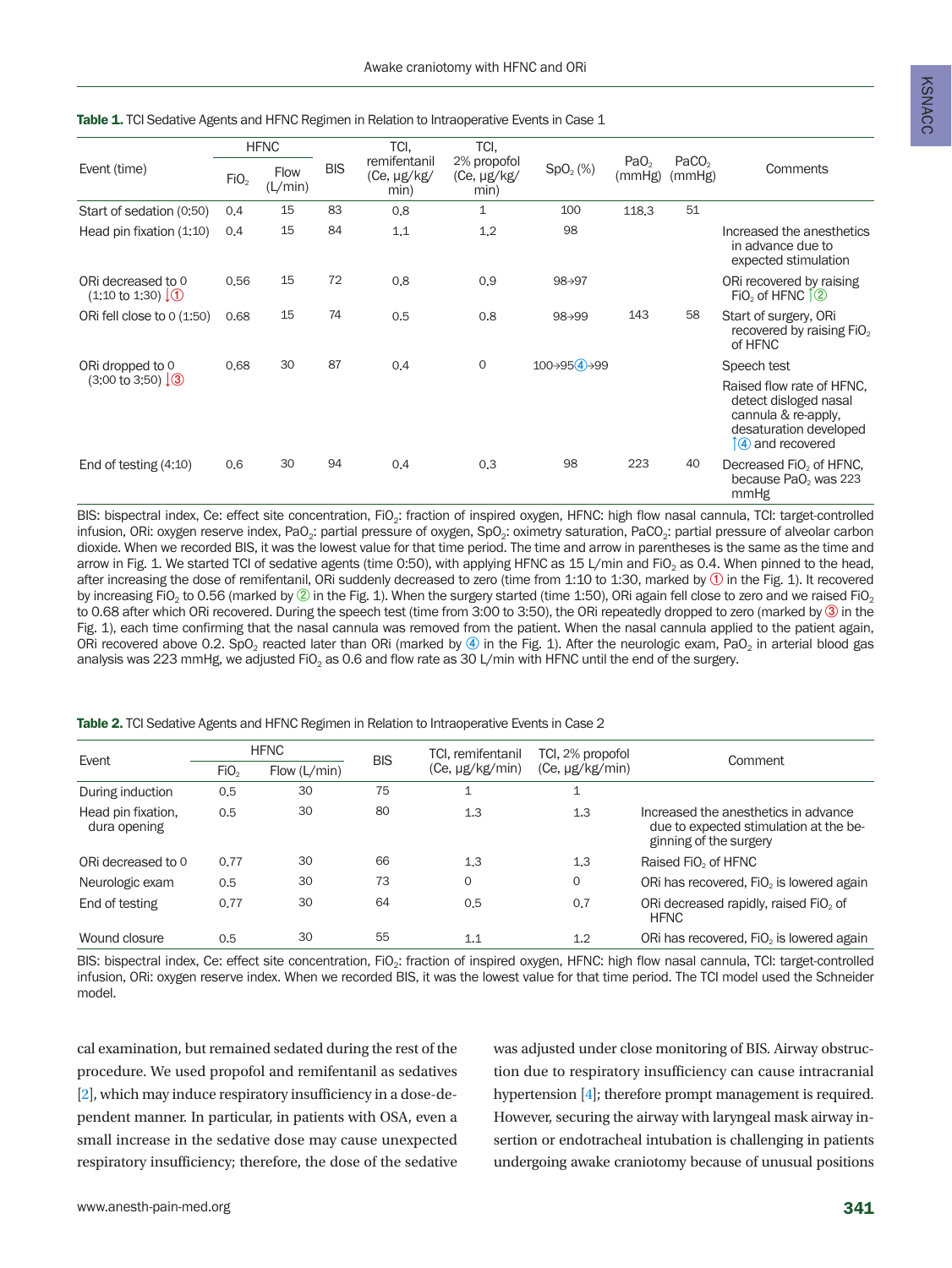<span id="page-3-0"></span>

| Event (time)                                        | <b>HFNC</b>      |                        |            | TCI.                                | TCI.                                    |                      |                            |                             |                                                                           |
|-----------------------------------------------------|------------------|------------------------|------------|-------------------------------------|-----------------------------------------|----------------------|----------------------------|-----------------------------|---------------------------------------------------------------------------|
|                                                     | FiO <sub>2</sub> | <b>Flow</b><br>(L/min) | <b>BIS</b> | remifentanil<br>(Ce, µg/kg/<br>min) | 2% propofol<br>$(Ce, \mu g/kg)$<br>min) | SpO <sub>2</sub> (%) | PaO <sub>2</sub><br>(mmHg) | PaCO <sub>2</sub><br>(mmHg) | Comments                                                                  |
| Start of sedation (0:50)                            | 0,4              | 15                     | 83         | 0,8                                 | 1                                       | 100                  | 118.3                      | 51                          |                                                                           |
| Head pin fixation (1:10)                            | 0.4              | 15                     | 84         | 1,1                                 | 1.2                                     | 98                   |                            |                             | Increased the anesthetics<br>in advance due to<br>expected stimulation    |
| ORi decreased to 0<br>$(1:10 \text{ to } 1:30)$ (1) | 0,56             | 15                     | 72         | 0,8                                 | 0,9                                     | 98→97                |                            |                             | ORi recovered by raising<br>FiO <sub>2</sub> of HFNC $\hat{1}(2)$         |
| ORi fell close to 0 (1:50)                          | 0.68             | 15                     | 74         | 0,5                                 | 0.8                                     | 98→99                | 143                        | 58                          | Start of surgery, ORi<br>recovered by raising FiO <sub>2</sub><br>of HFNC |

ORi dropped to 0 (3:00 to 3:50) **↓③**

BIS: bispectral index, Ce: effect site concentration, FiO<sub>2</sub>: fraction of inspired oxygen, HFNC: high flow nasal cannula, TCI: target-controlled infusion, ORi: oxygen reserve index, PaO<sub>2</sub>: partial pressure of oxygen, SpO<sub>2</sub>: oximetry saturation, PaCO<sub>2</sub>: partial pressure of alveolar carbon dioxide. When we recorded BIS, it was the lowest value for that time period. The time and arrow in parentheses is the same as the time and arrow in Fig. 1. We started TCI of sedative agents (time 0:50), with applying HFNC as 15 L/min and FiO<sub>2</sub> as 0.4. When pinned to the head, after increasing the dose of remifentanil, ORi suddenly decreased to zero (time from 1:10 to 1:30, marked by **①** in the Fig. 1). It recovered by increasing FiO<sub>2</sub> to 0.56 (marked by  $\oslash$  in the Fig. 1). When the surgery started (time 1:50), ORi again fell close to zero and we raised FiO<sub>2</sub> to 0.68 after which ORi recovered. During the speech test (time from 3:00 to 3:50), the ORi repeatedly dropped to zero (marked by **③** in the Fig. 1), each time confirming that the nasal cannula was removed from the patient. When the nasal cannula applied to the patient again, ORi recovered above 0.2. SpO<sub>2</sub> reacted later than ORi (marked by ④ in the Fig. 1). After the neurologic exam, PaO<sub>2</sub> in arterial blood gas analysis was 223 mmHg, we adjusted FiO<sub>2</sub> as 0.6 and flow rate as 30 L/min with HFNC until the end of the surgery.

End of testing (4:10) 0.6 30 94 0.4 0.3 98 223 40 Decreased FiO<sub>2</sub> of HFNC,

0.68 30 87 0.4 0 100→95**④**→99 Speech test

<span id="page-3-1"></span>Table 2. TCI Sedative Agents and HFNC Regimen in Relation to Intraoperative Events in Case 2

| Event                              |                  | <b>HFNC</b>  | <b>BIS</b> | TCI, remifentanil        | TCI, 2% propofol     |                                                                                                          |
|------------------------------------|------------------|--------------|------------|--------------------------|----------------------|----------------------------------------------------------------------------------------------------------|
|                                    | FiO <sub>2</sub> | Flow (L/min) |            | (Ce, µg/kg/min)          | $(Ce, \mu g/kg/min)$ | Comment                                                                                                  |
| During induction                   | 0,5              | 30           | 75         | $\overline{\phantom{a}}$ | $\mathbf{1}$         |                                                                                                          |
| Head pin fixation,<br>dura opening | 0.5              | 30           | 80         | 1,3                      | 1,3                  | Increased the anesthetics in advance<br>due to expected stimulation at the be-<br>ginning of the surgery |
| ORi decreased to 0                 | 0.77             | 30           | 66         | 1.3                      | 1.3                  | Raised FiO <sub>2</sub> of HFNC                                                                          |
| Neurologic exam                    | 0.5              | 30           | 73         | $\mathbf 0$              | $\circ$              | ORi has recovered. FiO <sub>2</sub> is lowered again                                                     |
| End of testing                     | 0.77             | 30           | 64         | 0.5                      | 0,7                  | ORi decreased rapidly, raised FiO <sub>2</sub> of<br><b>HFNC</b>                                         |
| Wound closure                      | 0.5              | 30           | 55         | 1.1                      | 1.2                  | ORi has recovered, FiO <sub>2</sub> is lowered again                                                     |

BIS: bispectral index, Ce: effect site concentration, FiO<sub>2</sub>: fraction of inspired oxygen, HFNC: high flow nasal cannula, TCI: target-controlled infusion, ORi: oxygen reserve index. When we recorded BIS, it was the lowest value for that time period. The TCI model used the Schneider model.

cal examination, but remained sedated during the rest of the procedure. We used propofol and remifentanil as sedatives [2], which may induce respiratory insufficiency in a dose-dependent manner. In particular, in patients with OSA, even a small increase in the sedative dose may cause unexpected respiratory insufficiency; therefore, the dose of the sedative was adjusted under close monitoring of BIS. Airway obstruction due to respiratory insufficiency can cause intracranial hypertension [4]; therefore prompt management is required. However, securing the airway with laryngeal mask airway insertion or endotracheal intubation is challenging in patients undergoing awake craniotomy because of unusual positions

Raised flow rate of HFNC, detect disloged nasal cannula & re-apply, desaturation developed **↑④** and recovered

because PaO<sub>2</sub> was 223

mmHg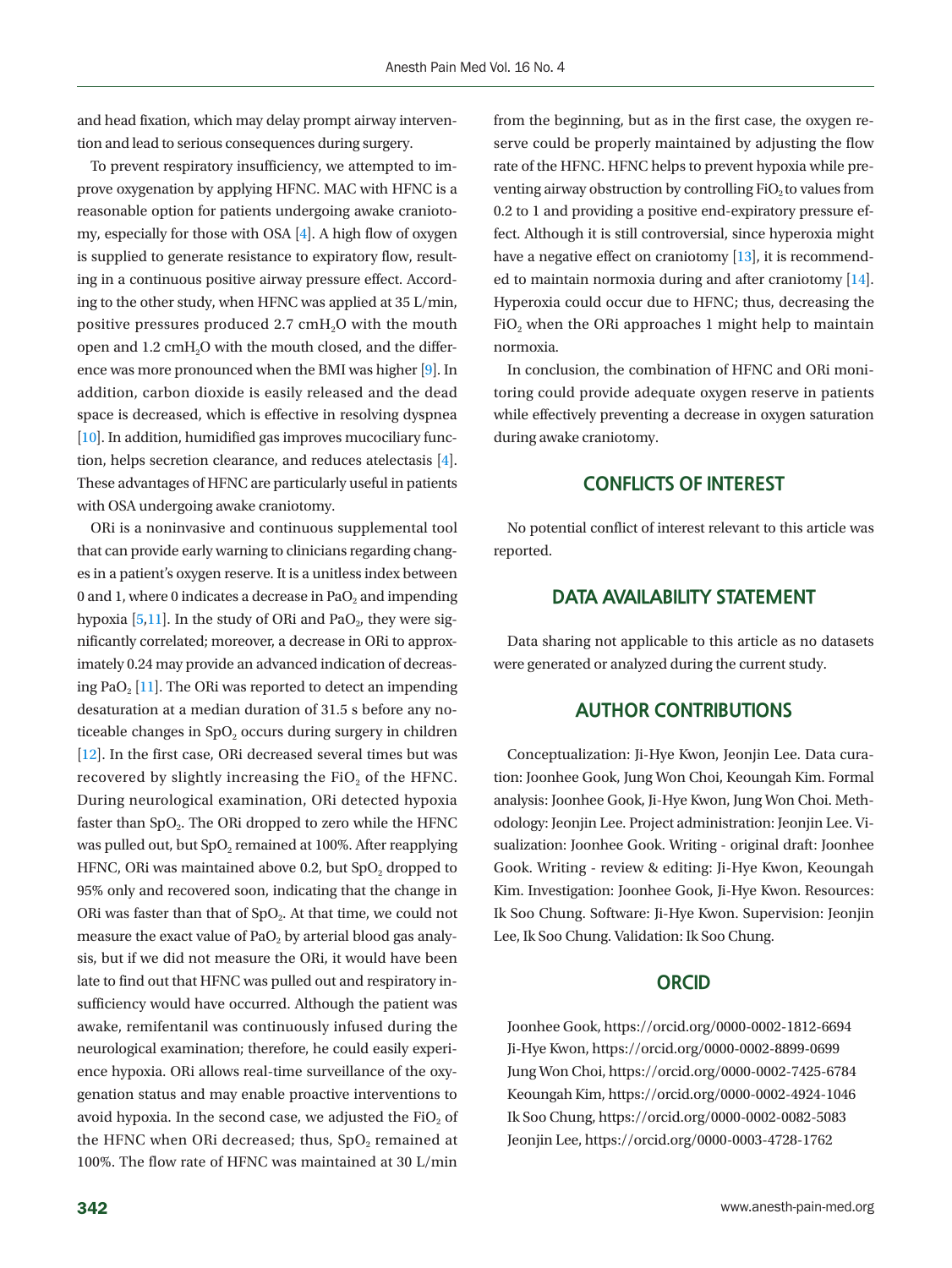and head fixation, which may delay prompt airway intervention and lead to serious consequences during surgery.

To prevent respiratory insufficiency, we attempted to improve oxygenation by applying HFNC. MAC with HFNC is a reasonable option for patients undergoing awake craniotomy, especially for those with OSA [4]. A high flow of oxygen is supplied to generate resistance to expiratory flow, resulting in a continuous positive airway pressure effect. According to the other study, when HFNC was applied at 35 L/min, positive pressures produced  $2.7 \text{ cmH}_2\text{O}$  with the mouth open and 1.2 cmH<sub>2</sub>O with the mouth closed, and the difference was more pronounced when the BMI was higher [\[9\]](#page-5-6). In addition, carbon dioxide is easily released and the dead space is decreased, which is effective in resolving dyspnea [\[10](#page-5-7)]. In addition, humidified gas improves mucociliary function, helps secretion clearance, and reduces atelectasis [4]. These advantages of HFNC are particularly useful in patients with OSA undergoing awake craniotomy.

ORi is a noninvasive and continuous supplemental tool that can provide early warning to clinicians regarding changes in a patient's oxygen reserve. It is a unitless index between 0 and 1, where 0 indicates a decrease in PaO<sub>2</sub> and impending hypoxia  $[5,11]$  $[5,11]$ . In the study of ORi and PaO<sub>2</sub>, they were significantly correlated; moreover, a decrease in ORi to approximately 0.24 may provide an advanced indication of decreas-ing PaO<sub>2</sub> [\[11\]](#page-5-4). The ORi was reported to detect an impending desaturation at a median duration of 31.5 s before any noticeable changes in  $SpO<sub>2</sub>$  occurs during surgery in children [\[12\]](#page-5-8). In the first case, ORi decreased several times but was recovered by slightly increasing the FiO<sub>2</sub> of the HFNC. During neurological examination, ORi detected hypoxia faster than  $SpO<sub>2</sub>$ . The ORi dropped to zero while the HFNC was pulled out, but SpO<sub>2</sub> remained at 100%. After reapplying HFNC, ORi was maintained above 0.2, but  $SpO<sub>2</sub>$  dropped to 95% only and recovered soon, indicating that the change in ORi was faster than that of SpO<sub>2</sub>. At that time, we could not measure the exact value of  $PaO<sub>2</sub>$  by arterial blood gas analysis, but if we did not measure the ORi, it would have been late to find out that HFNC was pulled out and respiratory insufficiency would have occurred. Although the patient was awake, remifentanil was continuously infused during the neurological examination; therefore, he could easily experience hypoxia. ORi allows real-time surveillance of the oxygenation status and may enable proactive interventions to avoid hypoxia. In the second case, we adjusted the FiO<sub>2</sub> of the HFNC when ORi decreased; thus,  $SpO<sub>2</sub>$  remained at 100%. The flow rate of HFNC was maintained at 30 L/min

from the beginning, but as in the first case, the oxygen reserve could be properly maintained by adjusting the flow rate of the HFNC. HFNC helps to prevent hypoxia while preventing airway obstruction by controlling  $FiO<sub>2</sub>$  to values from 0.2 to 1 and providing a positive end-expiratory pressure effect. Although it is still controversial, since hyperoxia might have a negative effect on craniotomy [\[13](#page-5-9)], it is recommended to maintain normoxia during and after craniotomy [\[14\]](#page-5-10). Hyperoxia could occur due to HFNC; thus, decreasing the FiO<sub>2</sub> when the ORi approaches 1 might help to maintain normoxia.

In conclusion, the combination of HFNC and ORi monitoring could provide adequate oxygen reserve in patients while effectively preventing a decrease in oxygen saturation during awake craniotomy.

#### **CONFLICTS OF INTEREST**

No potential conflict of interest relevant to this article was reported.

#### **DATA AVAILABILITY STATEMENT**

Data sharing not applicable to this article as no datasets were generated or analyzed during the current study.

#### **AUTHOR CONTRIBUTIONS**

<span id="page-4-0"></span>Conceptualization: Ji-Hye Kwon, Jeonjin Lee. Data curation: Joonhee Gook, Jung Won Choi, Keoungah Kim. Formal analysis: Joonhee Gook, Ji-Hye Kwon, Jung Won Choi. Methodology: Jeonjin Lee. Project administration: Jeonjin Lee. Visualization: Joonhee Gook. Writing - original draft: Joonhee Gook. Writing - review & editing: Ji-Hye Kwon, Keoungah Kim. Investigation: Joonhee Gook, Ji-Hye Kwon. Resources: Ik Soo Chung. Software: Ji-Hye Kwon. Supervision: Jeonjin Lee, Ik Soo Chung. Validation: Ik Soo Chung.

#### **ORCID**

Joonhee Gook, [https://orcid.org/0000-0002-1812-669](http://orcid.org/0000-0002-1812-6694)4 Ji-Hye Kwon, [https://orcid.org/0000-0002-8899-0699](http://orcid.org/0000-0002-8899-0699) Jung Won Choi, [https://orcid.org/0000-0002-7425-678](http://orcid.org/0000-0002-7425-6784)4 Keoungah Kim, [https://orcid.org/0000-0002-4924-1046](http://orcid.org/0000-0002-4924-1046) Ik Soo Chung, [https://orcid.org/0000-0002-0082-5083](http://orcid.org/0000-0002-0082-5083) Jeonjin Lee, [https://orcid.org/0000-0003-4728-176](http://orcid.org/0000-0003-4728-1762)2